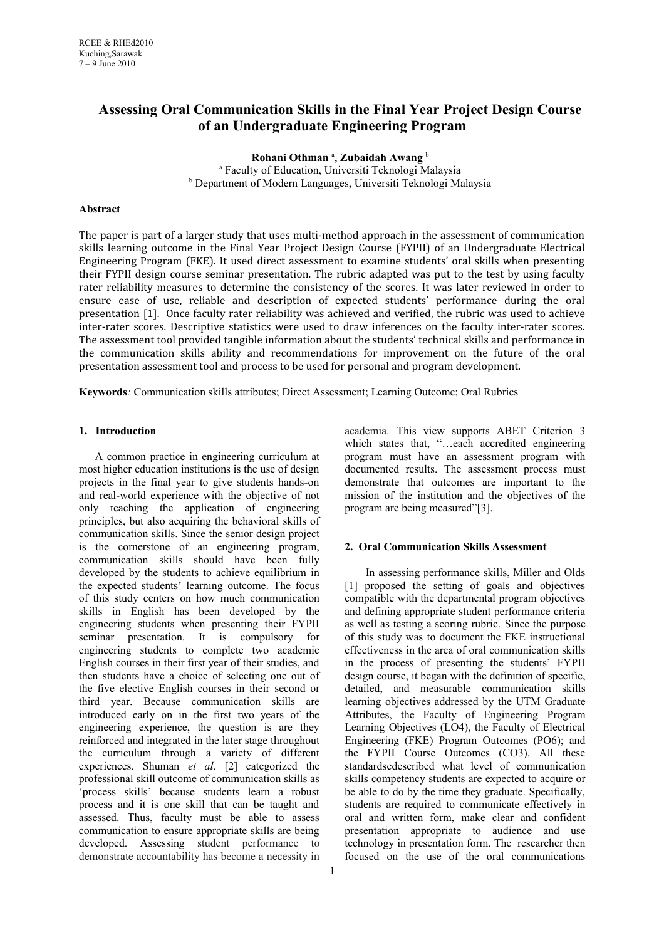# **Assessing Oral Communication Skills in the Final Year Project Design Course of an Undergraduate Engineering Program**

**Rohani Othman** <sup>a</sup> , **Zubaidah Awang** <sup>b</sup> a Faculty of Education, Universiti Teknologi Malaysia <sup>b</sup> Department of Modern Languages, Universiti Teknologi Malaysia

### **Abstract**

The paper is part of a larger study that uses multi-method approach in the assessment of communication skills learning outcome in the Final Year Project Design Course (FYPII) of an Undergraduate Electrical Engineering Program (FKE). It used direct assessment to examine students' oral skills when presenting their FYPII design course seminar presentation. The rubric adapted was put to the test by using faculty rater reliability measures to determine the consistency of the scores. It was later reviewed in order to ensure ease of use, reliable and description of expected students' performance during the oral presentation [1]. Once faculty rater reliability was achieved and verified, the rubric was used to achieve inter-rater scores. Descriptive statistics were used to draw inferences on the faculty inter-rater scores. The assessment tool provided tangible information about the students' technical skills and performance in the communication skills ability and recommendations for improvement on the future of the oral presentation assessment tool and process to be used for personal and program development.

**Keywords***:* Communication skills attributes; Direct Assessment; Learning Outcome; Oral Rubrics

# **1. Introduction**

A common practice in engineering curriculum at most higher education institutions is the use of design projects in the final year to give students hands-on and real-world experience with the objective of not only teaching the application of engineering principles, but also acquiring the behavioral skills of communication skills. Since the senior design project is the cornerstone of an engineering program, communication skills should have been fully developed by the students to achieve equilibrium in the expected students' learning outcome. The focus of this study centers on how much communication skills in English has been developed by the engineering students when presenting their FYPII seminar presentation. It is compulsory for engineering students to complete two academic English courses in their first year of their studies, and then students have a choice of selecting one out of the five elective English courses in their second or third year. Because communication skills are introduced early on in the first two years of the engineering experience, the question is are they reinforced and integrated in the later stage throughout the curriculum through a variety of different experiences. Shuman *et al*. [2] categorized the professional skill outcome of communication skills as 'process skills' because students learn a robust process and it is one skill that can be taught and assessed. Thus, faculty must be able to assess communication to ensure appropriate skills are being developed. Assessing student performance to demonstrate accountability has become a necessity in

academia. This view supports ABET Criterion 3 which states that, "…each accredited engineering program must have an assessment program with documented results. The assessment process must demonstrate that outcomes are important to the mission of the institution and the objectives of the program are being measured"[3].

#### **2. Oral Communication Skills Assessment**

 In assessing performance skills, Miller and Olds [1] proposed the setting of goals and objectives compatible with the departmental program objectives and defining appropriate student performance criteria as well as testing a scoring rubric. Since the purpose of this study was to document the FKE instructional effectiveness in the area of oral communication skills in the process of presenting the students' FYPII design course, it began with the definition of specific, detailed, and measurable communication skills learning objectives addressed by the UTM Graduate Attributes, the Faculty of Engineering Program Learning Objectives (LO4), the Faculty of Electrical Engineering (FKE) Program Outcomes (PO6); and the FYPII Course Outcomes (CO3). All these standardscdescribed what level of communication skills competency students are expected to acquire or be able to do by the time they graduate. Specifically, students are required to communicate effectively in oral and written form, make clear and confident presentation appropriate to audience and use technology in presentation form. The researcher then focused on the use of the oral communications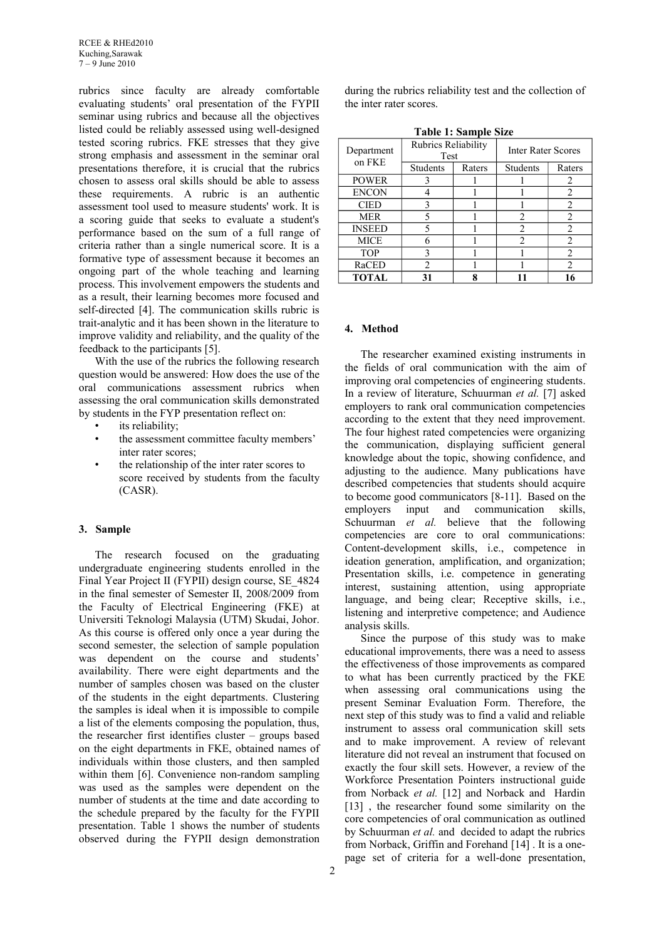rubrics since faculty are already comfortable evaluating students' oral presentation of the FYPII seminar using rubrics and because all the objectives listed could be reliably assessed using well-designed tested scoring rubrics. FKE stresses that they give strong emphasis and assessment in the seminar oral presentations therefore, it is crucial that the rubrics chosen to assess oral skills should be able to assess these requirements. A rubric is an authentic assessment tool used to measure students' work. It is a scoring guide that seeks to evaluate a student's performance based on the sum of a full range of criteria rather than a single numerical score. It is a formative type of assessment because it becomes an ongoing part of the whole teaching and learning process. This involvement empowers the students and as a result, their learning becomes more focused and self-directed [4]. The communication skills rubric is trait-analytic and it has been shown in the literature to improve validity and reliability, and the quality of the feedback to the participants [5].

With the use of the rubrics the following research question would be answered: How does the use of the oral communications assessment rubrics when assessing the oral communication skills demonstrated by students in the FYP presentation reflect on:

- its reliability:
- the assessment committee faculty members' inter rater scores;
- the relationship of the inter rater scores to score received by students from the faculty (CASR).

#### **3. Sample**

The research focused on the graduating undergraduate engineering students enrolled in the Final Year Project II (FYPII) design course, SE\_4824 in the final semester of Semester II, 2008/2009 from the Faculty of Electrical Engineering (FKE) at Universiti Teknologi Malaysia (UTM) Skudai, Johor. As this course is offered only once a year during the second semester, the selection of sample population was dependent on the course and students' availability. There were eight departments and the number of samples chosen was based on the cluster of the students in the eight departments. Clustering the samples is ideal when it is impossible to compile a list of the elements composing the population, thus, the researcher first identifies cluster – groups based on the eight departments in FKE, obtained names of individuals within those clusters, and then sampled within them [6]. Convenience non-random sampling was used as the samples were dependent on the number of students at the time and date according to the schedule prepared by the faculty for the FYPII presentation. Table 1 shows the number of students observed during the FYPII design demonstration

during the rubrics reliability test and the collection of the inter rater scores.

|--|

| Department    | Rubrics Reliability<br>Test |        | <b>Inter Rater Scores</b> |                |  |
|---------------|-----------------------------|--------|---------------------------|----------------|--|
| on FKE        | Students                    | Raters | Students                  | Raters         |  |
| <b>POWER</b>  | 3                           |        |                           | 2              |  |
| <b>ENCON</b>  |                             |        |                           | 2              |  |
| <b>CIED</b>   | 3                           |        |                           | 2              |  |
| <b>MER</b>    | 5                           |        | 2                         | 2              |  |
| <b>INSEED</b> | 5                           |        | 2                         | 2              |  |
| <b>MICE</b>   | 6                           |        | 2                         | 2              |  |
| <b>TOP</b>    | 3                           |        |                           | $\overline{2}$ |  |
| RaCED         | $\mathfrak{D}$              |        |                           | 2              |  |
| <b>TOTAL</b>  | 31                          | 8      |                           | 16             |  |

#### **4. Method**

The researcher examined existing instruments in the fields of oral communication with the aim of improving oral competencies of engineering students. In a review of literature, Schuurman *et al.* [7] asked employers to rank oral communication competencies according to the extent that they need improvement. The four highest rated competencies were organizing the communication, displaying sufficient general knowledge about the topic, showing confidence, and adjusting to the audience. Many publications have described competencies that students should acquire to become good communicators [8-11]. Based on the employers input and communication skills, Schuurman *et al.* believe that the following competencies are core to oral communications: Content-development skills, i.e., competence in ideation generation, amplification, and organization; Presentation skills, i.e. competence in generating interest, sustaining attention, using appropriate language, and being clear; Receptive skills, i.e., listening and interpretive competence; and Audience analysis skills.

Since the purpose of this study was to make educational improvements, there was a need to assess the effectiveness of those improvements as compared to what has been currently practiced by the FKE when assessing oral communications using the present Seminar Evaluation Form. Therefore, the next step of this study was to find a valid and reliable instrument to assess oral communication skill sets and to make improvement. A review of relevant literature did not reveal an instrument that focused on exactly the four skill sets. However, a review of the Workforce Presentation Pointers instructional guide from Norback *et al.* [12] and Norback and Hardin [13] , the researcher found some similarity on the core competencies of oral communication as outlined by Schuurman *et al.* and decided to adapt the rubrics from Norback, Griffin and Forehand [14] . It is a onepage set of criteria for a well-done presentation,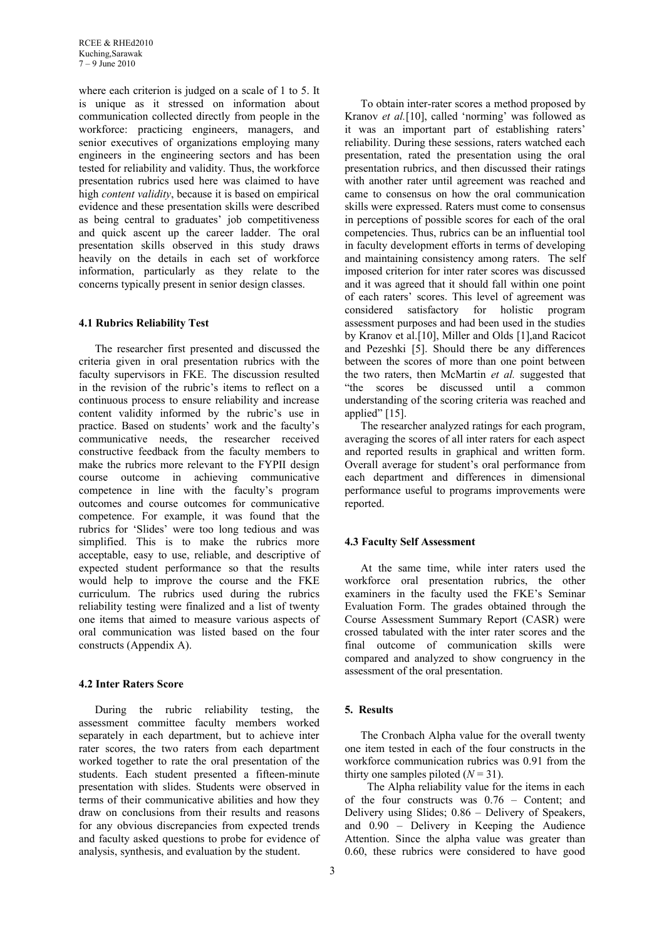where each criterion is judged on a scale of 1 to 5. It is unique as it stressed on information about communication collected directly from people in the workforce: practicing engineers, managers, and senior executives of organizations employing many engineers in the engineering sectors and has been tested for reliability and validity. Thus, the workforce presentation rubrics used here was claimed to have high *content validity*, because it is based on empirical evidence and these presentation skills were described as being central to graduates' job competitiveness and quick ascent up the career ladder. The oral presentation skills observed in this study draws heavily on the details in each set of workforce information, particularly as they relate to the concerns typically present in senior design classes.

## **4.1 Rubrics Reliability Test**

The researcher first presented and discussed the criteria given in oral presentation rubrics with the faculty supervisors in FKE. The discussion resulted in the revision of the rubric's items to reflect on a continuous process to ensure reliability and increase content validity informed by the rubric's use in practice. Based on students' work and the faculty's communicative needs, the researcher received constructive feedback from the faculty members to make the rubrics more relevant to the FYPII design course outcome in achieving communicative competence in line with the faculty's program outcomes and course outcomes for communicative competence. For example, it was found that the rubrics for 'Slides' were too long tedious and was simplified. This is to make the rubrics more acceptable, easy to use, reliable, and descriptive of expected student performance so that the results would help to improve the course and the FKE curriculum. The rubrics used during the rubrics reliability testing were finalized and a list of twenty one items that aimed to measure various aspects of oral communication was listed based on the four constructs (Appendix A).

## **4.2 Inter Raters Score**

During the rubric reliability testing, the assessment committee faculty members worked separately in each department, but to achieve inter rater scores, the two raters from each department worked together to rate the oral presentation of the students. Each student presented a fifteen-minute presentation with slides. Students were observed in terms of their communicative abilities and how they draw on conclusions from their results and reasons for any obvious discrepancies from expected trends and faculty asked questions to probe for evidence of analysis, synthesis, and evaluation by the student.

To obtain inter-rater scores a method proposed by Kranov *et al.*[10], called 'norming' was followed as it was an important part of establishing raters' reliability. During these sessions, raters watched each presentation, rated the presentation using the oral presentation rubrics, and then discussed their ratings with another rater until agreement was reached and came to consensus on how the oral communication skills were expressed. Raters must come to consensus in perceptions of possible scores for each of the oral competencies. Thus, rubrics can be an influential tool in faculty development efforts in terms of developing and maintaining consistency among raters. The self imposed criterion for inter rater scores was discussed and it was agreed that it should fall within one point of each raters' scores. This level of agreement was considered satisfactory for holistic program assessment purposes and had been used in the studies by Kranov et al.[10], Miller and Olds [1],and Racicot and Pezeshki [5]. Should there be any differences between the scores of more than one point between the two raters, then McMartin *et al.* suggested that "the scores be discussed until a common understanding of the scoring criteria was reached and applied" [15].

The researcher analyzed ratings for each program, averaging the scores of all inter raters for each aspect and reported results in graphical and written form. Overall average for student's oral performance from each department and differences in dimensional performance useful to programs improvements were reported.

## **4.3 Faculty Self Assessment**

At the same time, while inter raters used the workforce oral presentation rubrics, the other examiners in the faculty used the FKE's Seminar Evaluation Form. The grades obtained through the Course Assessment Summary Report (CASR) were crossed tabulated with the inter rater scores and the final outcome of communication skills were compared and analyzed to show congruency in the assessment of the oral presentation.

## **5. Results**

The Cronbach Alpha value for the overall twenty one item tested in each of the four constructs in the workforce communication rubrics was 0.91 from the thirty one samples piloted  $(N = 31)$ .

 The Alpha reliability value for the items in each of the four constructs was 0.76 – Content; and Delivery using Slides; 0.86 – Delivery of Speakers, and 0.90 – Delivery in Keeping the Audience Attention. Since the alpha value was greater than 0.60, these rubrics were considered to have good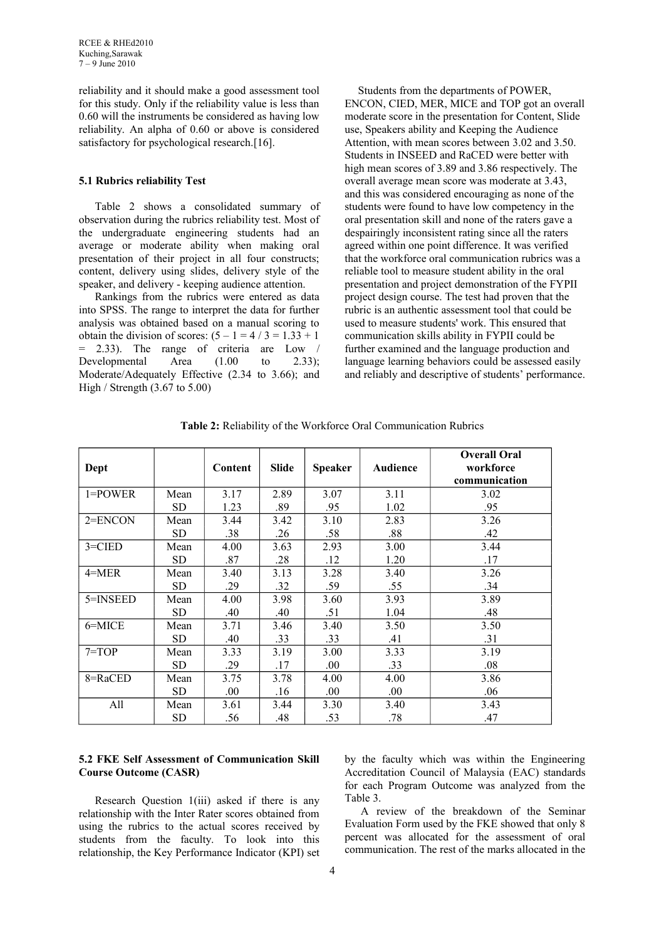reliability and it should make a good assessment tool for this study. Only if the reliability value is less than 0.60 will the instruments be considered as having low reliability. An alpha of 0.60 or above is considered satisfactory for psychological research.<sup>[16]</sup>.

#### **5.1 Rubrics reliability Test**

Table 2 shows a consolidated summary of observation during the rubrics reliability test. Most of the undergraduate engineering students had an average or moderate ability when making oral presentation of their project in all four constructs; content, delivery using slides, delivery style of the speaker, and delivery - keeping audience attention.

Rankings from the rubrics were entered as data into SPSS. The range to interpret the data for further analysis was obtained based on a manual scoring to obtain the division of scores:  $(5 - 1 = 4 / 3 = 1.33 + 1)$ 2.33). The range of criteria are Low  $/$ Developmental Area (1.00 to 2.33); Moderate/Adequately Effective (2.34 to 3.66); and High / Strength (3.67 to 5.00)

 Students from the departments of POWER, ENCON, CIED, MER, MICE and TOP got an overall moderate score in the presentation for Content, Slide use, Speakers ability and Keeping the Audience Attention, with mean scores between 3.02 and 3.50. Students in INSEED and RaCED were better with high mean scores of 3.89 and 3.86 respectively. The overall average mean score was moderate at 3.43, and this was considered encouraging as none of the students were found to have low competency in the oral presentation skill and none of the raters gave a despairingly inconsistent rating since all the raters agreed within one point difference. It was verified that the workforce oral communication rubrics was a reliable tool to measure student ability in the oral presentation and project demonstration of the FYPII project design course. The test had proven that the rubric is an authentic assessment tool that could be used to measure students' work. This ensured that communication skills ability in FYPII could be further examined and the language production and language learning behaviors could be assessed easily and reliably and descriptive of students' performance.

| Dept        |           | Content | Slide | <b>Speaker</b> | <b>Audience</b> | <b>Overall Oral</b><br>workforce<br>communication |
|-------------|-----------|---------|-------|----------------|-----------------|---------------------------------------------------|
| $1 = POWER$ | Mean      | 3.17    | 2.89  | 3.07           | 3.11            | 3.02                                              |
|             | SD.       | 1.23    | .89   | .95            | 1.02            | .95                                               |
| $2 = ENCON$ | Mean      | 3.44    | 3.42  | 3.10           | 2.83            | 3.26                                              |
|             | SD        | .38     | .26   | .58            | .88             | .42                                               |
| $3 = CIED$  | Mean      | 4.00    | 3.63  | 2.93           | 3.00            | 3.44                                              |
|             | <b>SD</b> | .87     | .28   | .12            | 1.20            | .17                                               |
| $4 = MER$   | Mean      | 3.40    | 3.13  | 3.28           | 3.40            | 3.26                                              |
|             | <b>SD</b> | .29     | .32   | .59            | .55             | .34                                               |
| 5=INSEED    | Mean      | 4.00    | 3.98  | 3.60           | 3.93            | 3.89                                              |
|             | <b>SD</b> | .40     | .40   | .51            | 1.04            | .48                                               |
| $6 =$ MICE  | Mean      | 3.71    | 3.46  | 3.40           | 3.50            | 3.50                                              |
|             | SD.       | .40     | .33   | .33            | .41             | .31                                               |
| $7 = TOP$   | Mean      | 3.33    | 3.19  | 3.00           | 3.33            | 3.19                                              |
|             | <b>SD</b> | .29     | .17   | .00.           | .33             | .08                                               |
| 8=RaCED     | Mean      | 3.75    | 3.78  | 4.00           | 4.00            | 3.86                                              |
|             | <b>SD</b> | .00     | .16   | .00.           | .00.            | .06                                               |
| All         | Mean      | 3.61    | 3.44  | 3.30           | 3.40            | 3.43                                              |
|             | <b>SD</b> | .56     | .48   | .53            | .78             | .47                                               |

**Table 2:** Reliability of the Workforce Oral Communication Rubrics

## **5.2 FKE Self Assessment of Communication Skill Course Outcome (CASR)**

Research Question 1(iii) asked if there is any relationship with the Inter Rater scores obtained from using the rubrics to the actual scores received by students from the faculty. To look into this relationship, the Key Performance Indicator (KPI) set by the faculty which was within the Engineering Accreditation Council of Malaysia (EAC) standards for each Program Outcome was analyzed from the Table 3.

A review of the breakdown of the Seminar Evaluation Form used by the FKE showed that only 8 percent was allocated for the assessment of oral communication. The rest of the marks allocated in the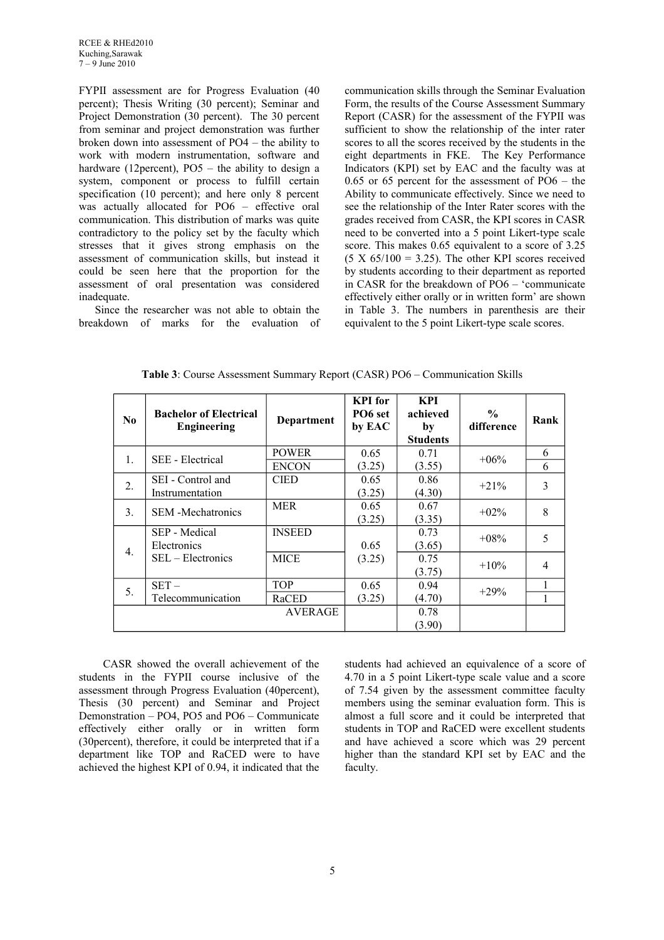FYPII assessment are for Progress Evaluation (40 percent); Thesis Writing (30 percent); Seminar and Project Demonstration (30 percent). The 30 percent from seminar and project demonstration was further broken down into assessment of PO4 – the ability to work with modern instrumentation, software and hardware (12percent), PO5 – the ability to design a system, component or process to fulfill certain specification (10 percent); and here only 8 percent was actually allocated for PO6 – effective oral communication. This distribution of marks was quite contradictory to the policy set by the faculty which stresses that it gives strong emphasis on the assessment of communication skills, but instead it could be seen here that the proportion for the assessment of oral presentation was considered inadequate.

Since the researcher was not able to obtain the breakdown of marks for the evaluation of communication skills through the Seminar Evaluation Form, the results of the Course Assessment Summary Report (CASR) for the assessment of the FYPII was sufficient to show the relationship of the inter rater scores to all the scores received by the students in the eight departments in FKE. The Key Performance Indicators (KPI) set by EAC and the faculty was at 0.65 or 65 percent for the assessment of PO6 – the Ability to communicate effectively. Since we need to see the relationship of the Inter Rater scores with the grades received from CASR, the KPI scores in CASR need to be converted into a 5 point Likert-type scale score. This makes 0.65 equivalent to a score of 3.25  $(5 \text{ X } 65/100 = 3.25)$ . The other KPI scores received by students according to their department as reported in CASR for the breakdown of PO6 – 'communicate effectively either orally or in written form' are shown in Table 3. The numbers in parenthesis are their equivalent to the 5 point Likert-type scale scores.

| $\bf No$       | <b>Bachelor of Electrical</b><br><b>Engineering</b> | <b>Department</b> | <b>KPI</b> for<br>PO <sub>6</sub> set<br>by EAC | <b>KPI</b><br>achieved<br>by<br><b>Students</b> | $\frac{6}{6}$<br>difference | Rank           |
|----------------|-----------------------------------------------------|-------------------|-------------------------------------------------|-------------------------------------------------|-----------------------------|----------------|
| $\mathbf{1}$ . | SEE - Electrical                                    | <b>POWER</b>      | 0.65                                            | 0.71                                            | $+06\%$                     | 6              |
|                |                                                     | <b>ENCON</b>      | (3.25)                                          | (3.55)                                          |                             | 6              |
| 2.             | SEI - Control and                                   | <b>CIED</b>       | 0.65                                            | 0.86                                            | $+21%$                      | 3              |
|                | Instrumentation                                     |                   | (3.25)                                          | (4.30)                                          |                             |                |
| 3.             | <b>SEM</b> - Mechatronics                           | <b>MER</b>        | 0.65                                            | 0.67                                            | $+02\%$                     | 8              |
|                |                                                     |                   | (3.25)                                          | (3.35)                                          |                             |                |
|                | SEP - Medical                                       | <b>INSEED</b>     |                                                 | 0.73                                            | $+08%$                      | 5              |
| 4.             | Electronics                                         |                   | 0.65                                            | (3.65)                                          |                             |                |
|                | SEL – Electronics                                   | <b>MICE</b>       | (3.25)                                          | 0.75                                            | $+10\%$                     | $\overline{4}$ |
|                |                                                     |                   |                                                 | (3.75)                                          |                             |                |
| 5.             | $SET -$                                             | <b>TOP</b>        | 0.65                                            | 0.94                                            | $+29%$                      |                |
|                | Telecommunication                                   | RaCED             | (3.25)                                          | (4.70)                                          |                             |                |
|                |                                                     | <b>AVERAGE</b>    |                                                 | 0.78                                            |                             |                |
|                |                                                     |                   |                                                 | (3.90)                                          |                             |                |

**Table 3**: Course Assessment Summary Report (CASR) PO6 – Communication Skills

 CASR showed the overall achievement of the students in the FYPII course inclusive of the assessment through Progress Evaluation (40percent), Thesis (30 percent) and Seminar and Project Demonstration – PO4, PO5 and PO6 – Communicate effectively either orally or in written form (30percent), therefore, it could be interpreted that if a department like TOP and RaCED were to have achieved the highest KPI of 0.94, it indicated that the

students had achieved an equivalence of a score of 4.70 in a 5 point Likert-type scale value and a score of 7.54 given by the assessment committee faculty members using the seminar evaluation form. This is almost a full score and it could be interpreted that students in TOP and RaCED were excellent students and have achieved a score which was 29 percent higher than the standard KPI set by EAC and the faculty.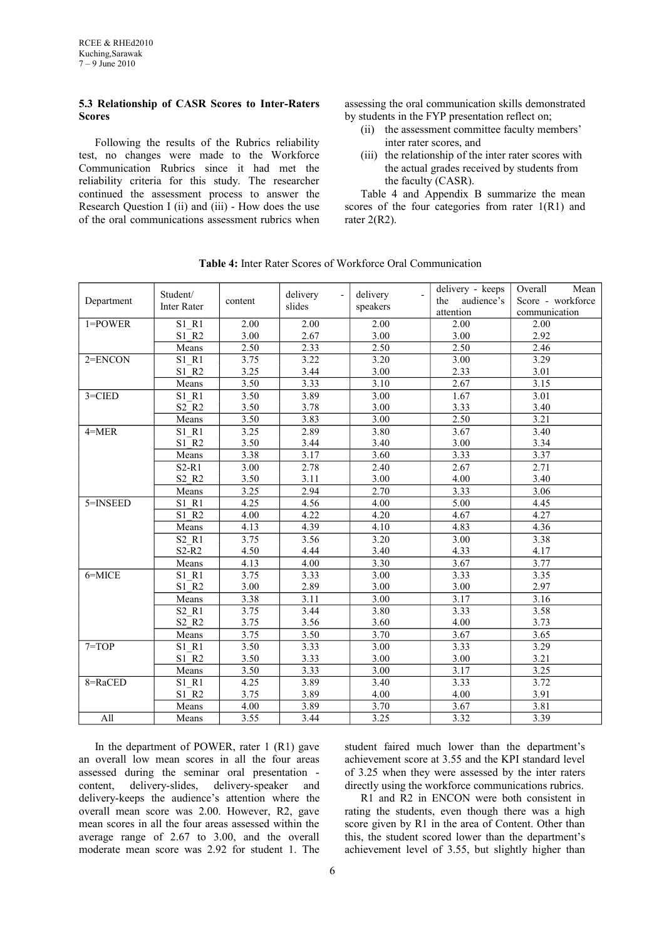# **5.3 Relationship of CASR Scores to Inter-Raters Scores**

Following the results of the Rubrics reliability test, no changes were made to the Workforce Communication Rubrics since it had met the reliability criteria for this study. The researcher continued the assessment process to answer the Research Question I (ii) and (iii) - How does the use of the oral communications assessment rubrics when

assessing the oral communication skills demonstrated by students in the FYP presentation reflect on;

- (ii) the assessment committee faculty members' inter rater scores, and
- (iii) the relationship of the inter rater scores with the actual grades received by students from the faculty (CASR).

Table 4 and Appendix B summarize the mean scores of the four categories from rater  $1(R1)$  and rater  $2(R2)$ .

| Department  | Student/<br><b>Inter Rater</b> | content | delivery<br>slides | delivery - keeps<br>delivery<br>the<br>audience's<br>speakers<br>attention |                   | Overall<br>Mean<br>Score - workforce<br>communication |
|-------------|--------------------------------|---------|--------------------|----------------------------------------------------------------------------|-------------------|-------------------------------------------------------|
| $1 = POWER$ | S1 R1                          | 2.00    | 2.00               | 2.00                                                                       | 2.00              | 2.00                                                  |
|             | S1 R2                          | 3.00    | 2.67               | 3.00                                                                       | 3.00              | 2.92                                                  |
|             | Means                          | 2.50    | 2.33               | 2.50                                                                       | 2.50              | 2.46                                                  |
| $2 = ENCON$ | S1 R1                          | 3.75    | 3.22               | 3.20                                                                       | $\overline{3.00}$ | 3.29                                                  |
|             | S1 R2                          | 3.25    | 3.44               | 3.00                                                                       | 2.33              | 3.01                                                  |
|             | Means                          | 3.50    | 3.33               | 3.10                                                                       | 2.67              | 3.15                                                  |
| $3 = CIED$  | S1 R1                          | 3.50    | 3.89               | 3.00                                                                       | 1.67              | $\overline{3.01}$                                     |
|             | $S2$ <sub>R2</sub>             | 3.50    | 3.78               | 3.00                                                                       | 3.33              | 3.40                                                  |
|             | Means                          | 3.50    | 3.83               | 3.00                                                                       | 2.50              | 3.21                                                  |
| $4 = MER$   | S1 R1                          | 3.25    | 2.89               | 3.80                                                                       | 3.67              | 3.40                                                  |
|             | S1 R2                          | 3.50    | 3.44               | 3.40                                                                       | 3.00              | 3.34                                                  |
|             | Means                          | 3.38    | 3.17               | 3.60                                                                       | 3.33              | 3.37                                                  |
|             | $S2-R1$                        | 3.00    | 2.78               | 2.40                                                                       | 2.67              | 2.71                                                  |
|             | S2 R2                          | 3.50    | 3.11               | 3.00                                                                       | 4.00              | 3.40                                                  |
|             | Means                          | 3.25    | 2.94               | 2.70                                                                       | 3.33              | 3.06                                                  |
| 5=INSEED    | S1 R1                          | 4.25    | 4.56               | 4.00                                                                       | 5.00              | 4.45                                                  |
|             | $S1$ $R2$                      | 4.00    | 4.22               | 4.20                                                                       | 4.67              | 4.27                                                  |
|             | Means                          | 4.13    | 4.39               | $4.\overline{10}$                                                          | 4.83              | 4.36                                                  |
|             | S2 R1                          | 3.75    | 3.56               | 3.20                                                                       | $\overline{3.00}$ | 3.38                                                  |
|             | $S2-R2$                        | 4.50    | 4.44               | 3.40                                                                       | 4.33              | 4.17                                                  |
|             | Means                          | 4.13    | 4.00               | 3.30                                                                       | 3.67              | 3.77                                                  |
| 6=MICE      | S1 R1                          | 3.75    | 3.33               | $\overline{3.00}$                                                          | 3.33              | 3.35                                                  |
|             | $S1$ <sub>R2</sub>             | 3.00    | 2.89               | 3.00                                                                       | 3.00              | 2.97                                                  |
|             | Means                          | 3.38    | 3.11               | 3.00                                                                       | 3.17              | 3.16                                                  |
|             | $S2$ $R1$                      | 3.75    | 3.44               | 3.80                                                                       | 3.33              | 3.58                                                  |
|             | S2 R2                          | 3.75    | 3.56               | 3.60                                                                       | 4.00              | 3.73                                                  |
|             | Means                          | 3.75    | 3.50               | 3.70                                                                       | 3.67              | 3.65                                                  |
| $7=TOP$     | S1 R1                          | 3.50    | 3.33               | 3.00                                                                       | 3.33              | 3.29                                                  |
|             | $S1$ <sub>R2</sub>             | 3.50    | 3.33               | 3.00                                                                       | 3.00              | 3.21                                                  |
|             | Means                          | 3.50    | 3.33               | $\overline{3.00}$                                                          | 3.17              | 3.25                                                  |
| 8=RaCED     | S1 R1                          | 4.25    | 3.89               | 3.40                                                                       | 3.33              | 3.72                                                  |
|             | S1 R2                          | 3.75    | 3.89               | 4.00                                                                       | 4.00              | 3.91                                                  |
|             | Means                          | 4.00    | 3.89               | 3.70                                                                       | 3.67              | 3.81                                                  |
| All         | Means                          | 3.55    | 3.44               | 3.25                                                                       | 3.32              | 3.39                                                  |

**Table 4:** Inter Rater Scores of Workforce Oral Communication

In the department of POWER, rater 1 (R1) gave an overall low mean scores in all the four areas assessed during the seminar oral presentation content, delivery-slides, delivery-speaker and delivery-keeps the audience's attention where the overall mean score was 2.00. However, R2, gave mean scores in all the four areas assessed within the average range of 2.67 to 3.00, and the overall moderate mean score was 2.92 for student 1. The

student faired much lower than the department's achievement score at 3.55 and the KPI standard level of 3.25 when they were assessed by the inter raters directly using the workforce communications rubrics.

R1 and R2 in ENCON were both consistent in rating the students, even though there was a high score given by R1 in the area of Content. Other than this, the student scored lower than the department's achievement level of 3.55, but slightly higher than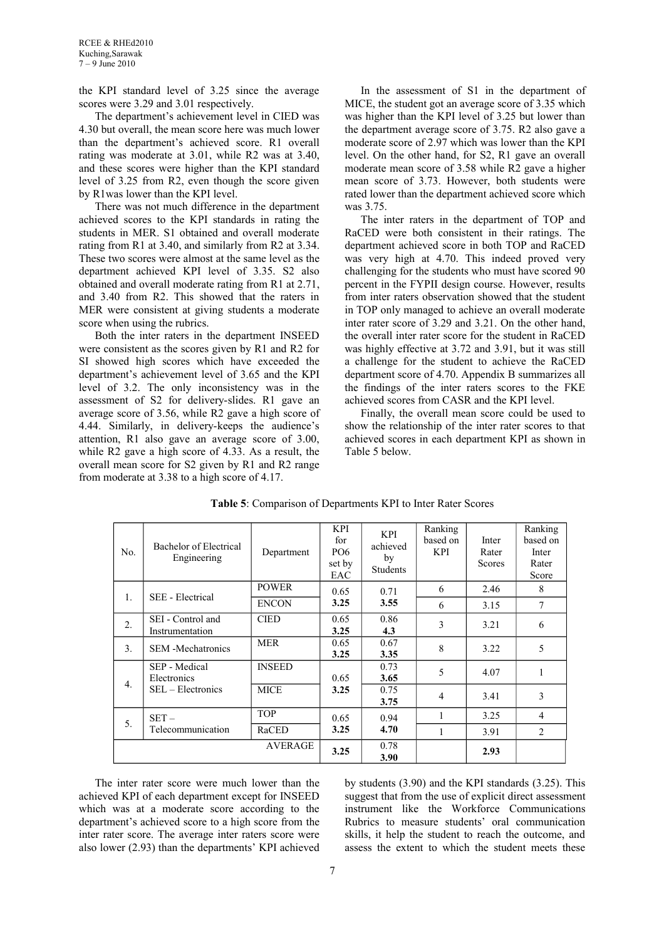the KPI standard level of 3.25 since the average scores were 3.29 and 3.01 respectively.

The department's achievement level in CIED was 4.30 but overall, the mean score here was much lower than the department's achieved score. R1 overall rating was moderate at 3.01, while R2 was at 3.40, and these scores were higher than the KPI standard level of 3.25 from R2, even though the score given by R1was lower than the KPI level.

There was not much difference in the department achieved scores to the KPI standards in rating the students in MER. S1 obtained and overall moderate rating from R1 at 3.40, and similarly from R2 at 3.34. These two scores were almost at the same level as the department achieved KPI level of 3.35. S2 also obtained and overall moderate rating from R1 at 2.71, and 3.40 from R2. This showed that the raters in MER were consistent at giving students a moderate score when using the rubrics.

Both the inter raters in the department INSEED were consistent as the scores given by R1 and R2 for SI showed high scores which have exceeded the department's achievement level of 3.65 and the KPI level of 3.2. The only inconsistency was in the assessment of S2 for delivery-slides. R1 gave an average score of 3.56, while R2 gave a high score of 4.44. Similarly, in delivery-keeps the audience's attention, R1 also gave an average score of 3.00, while R2 gave a high score of 4.33. As a result, the overall mean score for S2 given by R1 and R2 range from moderate at 3.38 to a high score of 4.17.

In the assessment of S1 in the department of MICE, the student got an average score of 3.35 which was higher than the KPI level of 3.25 but lower than the department average score of 3.75. R2 also gave a moderate score of 2.97 which was lower than the KPI level. On the other hand, for S2, R1 gave an overall moderate mean score of 3.58 while R2 gave a higher mean score of 3.73. However, both students were rated lower than the department achieved score which was 3.75.

The inter raters in the department of TOP and RaCED were both consistent in their ratings. The department achieved score in both TOP and RaCED was very high at 4.70. This indeed proved very challenging for the students who must have scored 90 percent in the FYPII design course. However, results from inter raters observation showed that the student in TOP only managed to achieve an overall moderate inter rater score of 3.29 and 3.21. On the other hand, the overall inter rater score for the student in RaCED was highly effective at 3.72 and 3.91, but it was still a challenge for the student to achieve the RaCED department score of 4.70. Appendix B summarizes all the findings of the inter raters scores to the FKE achieved scores from CASR and the KPI level.

Finally, the overall mean score could be used to show the relationship of the inter rater scores to that achieved scores in each department KPI as shown in Table 5 below.

| No.              | Bachelor of Electrical<br>Engineering | Department     | KPI<br>for<br>PO <sub>6</sub><br>set by<br>EAC | <b>KPI</b><br>achieved<br>by<br><b>Students</b> | Ranking<br>based on<br><b>KPI</b> | Inter<br>Rater<br>Scores | Ranking<br>based on<br>Inter<br>Rater<br>Score |
|------------------|---------------------------------------|----------------|------------------------------------------------|-------------------------------------------------|-----------------------------------|--------------------------|------------------------------------------------|
| $\mathbf{1}$ .   | <b>SEE</b> - Electrical               | <b>POWER</b>   | 0.65                                           | 0.71                                            | 6                                 | 2.46                     | 8                                              |
|                  |                                       | <b>ENCON</b>   | 3.25                                           | 3.55                                            | 6                                 | 3.15                     | 7                                              |
| 2.               | SEI - Control and<br>Instrumentation  | <b>CIED</b>    | 0.65<br>3.25                                   | 0.86<br>4.3                                     | 3                                 | 3.21                     | 6                                              |
| 3 <sub>1</sub>   | <b>SEM</b> - Mechatronics             | <b>MER</b>     | 0.65<br>3.25                                   | 0.67<br>3.35                                    | 8                                 | 3.22                     | 5                                              |
| $\overline{4}$ . | SEP - Medical<br>Electronics          | <b>INSEED</b>  | 0.65                                           | 0.73<br>3.65                                    | 5                                 | 4.07                     | 1                                              |
|                  | SEL – Electronics                     | <b>MICE</b>    | 3.25                                           | 0.75<br>3.75                                    | 4                                 | 3.41                     | 3                                              |
| 5.               | $SET -$                               | <b>TOP</b>     | 0.65                                           | 0.94                                            | 1                                 | 3.25                     | $\overline{4}$                                 |
|                  | Telecommunication                     | RaCED          | 3.25                                           | 4.70                                            |                                   | 3.91                     | $\mathfrak{D}$                                 |
|                  |                                       | <b>AVERAGE</b> | 3.25                                           | 0.78<br>3.90                                    |                                   | 2.93                     |                                                |

**Table 5**: Comparison of Departments KPI to Inter Rater Scores

The inter rater score were much lower than the achieved KPI of each department except for INSEED which was at a moderate score according to the department's achieved score to a high score from the inter rater score. The average inter raters score were also lower (2.93) than the departments' KPI achieved by students (3.90) and the KPI standards (3.25). This suggest that from the use of explicit direct assessment instrument like the Workforce Communications Rubrics to measure students' oral communication skills, it help the student to reach the outcome, and assess the extent to which the student meets these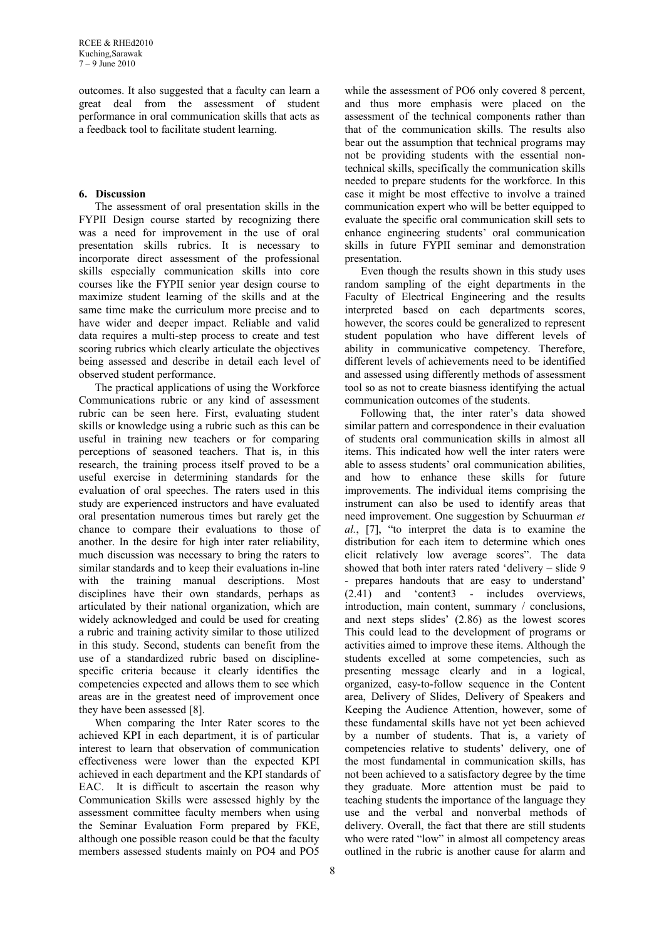outcomes. It also suggested that a faculty can learn a great deal from the assessment of student performance in oral communication skills that acts as a feedback tool to facilitate student learning.

## **6. Discussion**

The assessment of oral presentation skills in the FYPII Design course started by recognizing there was a need for improvement in the use of oral presentation skills rubrics. It is necessary to incorporate direct assessment of the professional skills especially communication skills into core courses like the FYPII senior year design course to maximize student learning of the skills and at the same time make the curriculum more precise and to have wider and deeper impact. Reliable and valid data requires a multi-step process to create and test scoring rubrics which clearly articulate the objectives being assessed and describe in detail each level of observed student performance.

The practical applications of using the Workforce Communications rubric or any kind of assessment rubric can be seen here. First, evaluating student skills or knowledge using a rubric such as this can be useful in training new teachers or for comparing perceptions of seasoned teachers. That is, in this research, the training process itself proved to be a useful exercise in determining standards for the evaluation of oral speeches. The raters used in this study are experienced instructors and have evaluated oral presentation numerous times but rarely get the chance to compare their evaluations to those of another. In the desire for high inter rater reliability, much discussion was necessary to bring the raters to similar standards and to keep their evaluations in-line with the training manual descriptions. Most disciplines have their own standards, perhaps as articulated by their national organization, which are widely acknowledged and could be used for creating a rubric and training activity similar to those utilized in this study. Second, students can benefit from the use of a standardized rubric based on disciplinespecific criteria because it clearly identifies the competencies expected and allows them to see which areas are in the greatest need of improvement once they have been assessed [8].

When comparing the Inter Rater scores to the achieved KPI in each department, it is of particular interest to learn that observation of communication effectiveness were lower than the expected KPI achieved in each department and the KPI standards of EAC. It is difficult to ascertain the reason why Communication Skills were assessed highly by the assessment committee faculty members when using the Seminar Evaluation Form prepared by FKE, although one possible reason could be that the faculty members assessed students mainly on PO4 and PO5

while the assessment of PO6 only covered 8 percent, and thus more emphasis were placed on the assessment of the technical components rather than that of the communication skills. The results also bear out the assumption that technical programs may not be providing students with the essential nontechnical skills, specifically the communication skills needed to prepare students for the workforce. In this case it might be most effective to involve a trained communication expert who will be better equipped to evaluate the specific oral communication skill sets to enhance engineering students' oral communication skills in future FYPII seminar and demonstration presentation.

Even though the results shown in this study uses random sampling of the eight departments in the Faculty of Electrical Engineering and the results interpreted based on each departments scores, however, the scores could be generalized to represent student population who have different levels of ability in communicative competency. Therefore, different levels of achievements need to be identified and assessed using differently methods of assessment tool so as not to create biasness identifying the actual communication outcomes of the students.

Following that, the inter rater's data showed similar pattern and correspondence in their evaluation of students oral communication skills in almost all items. This indicated how well the inter raters were able to assess students' oral communication abilities, and how to enhance these skills for future improvements. The individual items comprising the instrument can also be used to identify areas that need improvement. One suggestion by Schuurman *et al.*, [7], "to interpret the data is to examine the distribution for each item to determine which ones elicit relatively low average scores". The data showed that both inter raters rated 'delivery – slide 9 - prepares handouts that are easy to understand' (2.41) and 'content3 - includes overviews, introduction, main content, summary / conclusions, and next steps slides' (2.86) as the lowest scores This could lead to the development of programs or activities aimed to improve these items. Although the students excelled at some competencies, such as presenting message clearly and in a logical, organized, easy-to-follow sequence in the Content area, Delivery of Slides, Delivery of Speakers and Keeping the Audience Attention, however, some of these fundamental skills have not yet been achieved by a number of students. That is, a variety of competencies relative to students' delivery, one of the most fundamental in communication skills, has not been achieved to a satisfactory degree by the time they graduate. More attention must be paid to teaching students the importance of the language they use and the verbal and nonverbal methods of delivery. Overall, the fact that there are still students who were rated "low" in almost all competency areas outlined in the rubric is another cause for alarm and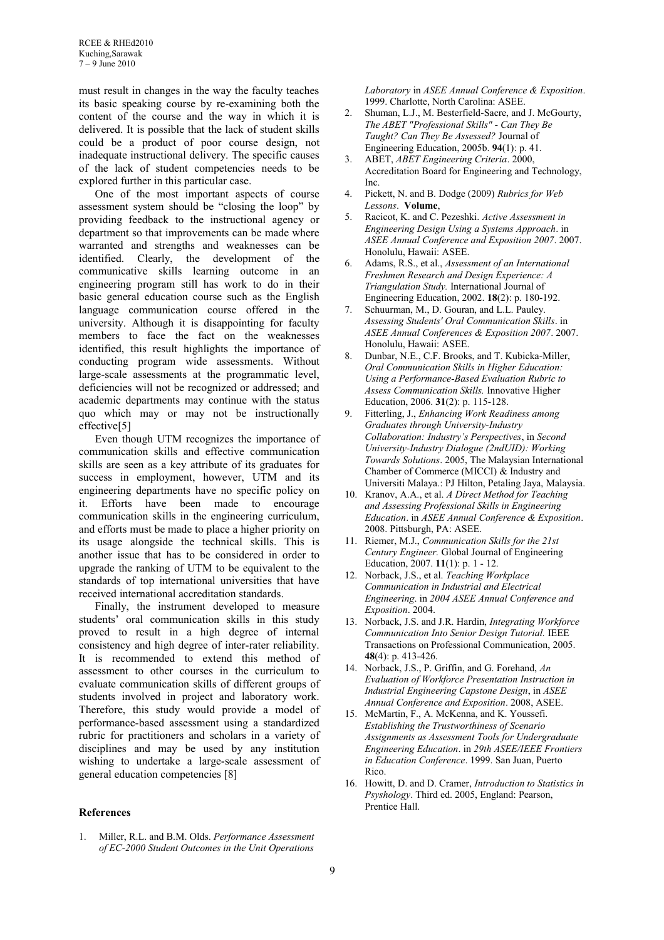must result in changes in the way the faculty teaches its basic speaking course by re-examining both the content of the course and the way in which it is delivered. It is possible that the lack of student skills could be a product of poor course design, not inadequate instructional delivery. The specific causes of the lack of student competencies needs to be explored further in this particular case.

One of the most important aspects of course assessment system should be "closing the loop" by providing feedback to the instructional agency or department so that improvements can be made where warranted and strengths and weaknesses can be identified. Clearly, the development of the communicative skills learning outcome in an engineering program still has work to do in their basic general education course such as the English language communication course offered in the university. Although it is disappointing for faculty members to face the fact on the weaknesses identified, this result highlights the importance of conducting program wide assessments. Without large-scale assessments at the programmatic level, deficiencies will not be recognized or addressed; and academic departments may continue with the status quo which may or may not be instructionally effective[5]

Even though UTM recognizes the importance of communication skills and effective communication skills are seen as a key attribute of its graduates for success in employment, however, UTM and its engineering departments have no specific policy on it. Efforts have been made to encourage communication skills in the engineering curriculum, and efforts must be made to place a higher priority on its usage alongside the technical skills. This is another issue that has to be considered in order to upgrade the ranking of UTM to be equivalent to the standards of top international universities that have received international accreditation standards.

Finally, the instrument developed to measure students' oral communication skills in this study proved to result in a high degree of internal consistency and high degree of inter-rater reliability. It is recommended to extend this method of assessment to other courses in the curriculum to evaluate communication skills of different groups of students involved in project and laboratory work. Therefore, this study would provide a model of performance-based assessment using a standardized rubric for practitioners and scholars in a variety of disciplines and may be used by any institution wishing to undertake a large-scale assessment of general education competencies [8]

#### **References**

1. Miller, R.L. and B.M. Olds. *Performance Assessment of EC-2000 Student Outcomes in the Unit Operations* 

*Laboratory* in *ASEE Annual Conference & Exposition*. 1999. Charlotte, North Carolina: ASEE.

- 2. Shuman, L.J., M. Besterfield-Sacre, and J. McGourty, *The ABET "Professional Skills" - Can They Be Taught? Can They Be Assessed?* Journal of Engineering Education, 2005b. **94**(1): p. 41.
- 3. ABET, *ABET Engineering Criteria*. 2000, Accreditation Board for Engineering and Technology, Inc.
- 4. Pickett, N. and B. Dodge (2009) *Rubrics for Web Lessons*. **Volume**,
- 5. Racicot, K. and C. Pezeshki. *Active Assessment in Engineering Design Using a Systems Approach*. in *ASEE Annual Conference and Exposition 2007*. 2007. Honolulu, Hawaii: ASEE.
- 6. Adams, R.S., et al., *Assessment of an International Freshmen Research and Design Experience: A Triangulation Study.* International Journal of Engineering Education, 2002. **18**(2): p. 180-192.
- Schuurman, M., D. Gouran, and L.L. Pauley. *Assessing Students' Oral Communication Skills*. in *ASEE Annual Conferences & Exposition 2007*. 2007. Honolulu, Hawaii: ASEE.
- 8. Dunbar, N.E., C.F. Brooks, and T. Kubicka-Miller, *Oral Communication Skills in Higher Education: Using a Performance-Based Evaluation Rubric to Assess Communication Skills.* Innovative Higher Education, 2006. **31**(2): p. 115-128.
- 9. Fitterling, J., *Enhancing Work Readiness among Graduates through University-Industry Collaboration: Industry's Perspectives*, in *Second University-Industry Dialogue (2ndUID): Working Towards Solutions*. 2005, The Malaysian International Chamber of Commerce (MICCI) & Industry and Universiti Malaya.: PJ Hilton, Petaling Jaya, Malaysia.
- 10. Kranov, A.A., et al. *A Direct Method for Teaching and Assessing Professional Skills in Engineering Education*. in *ASEE Annual Conference & Exposition*. 2008. Pittsburgh, PA: ASEE.
- 11. Riemer, M.J., *Communication Skills for the 21st Century Engineer.* Global Journal of Engineering Education, 2007. **11**(1): p. 1 - 12.
- 12. Norback, J.S., et al. *Teaching Workplace Communication in Industrial and Electrical Engineering*. in *2004 ASEE Annual Conference and Exposition*. 2004.
- 13. Norback, J.S. and J.R. Hardin, *Integrating Workforce Communication Into Senior Design Tutorial.* IEEE Transactions on Professional Communication, 2005. **48**(4): p. 413-426.
- 14. Norback, J.S., P. Griffin, and G. Forehand, *An Evaluation of Workforce Presentation Instruction in Industrial Engineering Capstone Design*, in *ASEE Annual Conference and Exposition*. 2008, ASEE.
- 15. McMartin, F., A. McKenna, and K. Youssefi. *Establishing the Trustworthiness of Scenario Assignments as Assessment Tools for Undergraduate Engineering Education*. in *29th ASEE/IEEE Frontiers in Education Conference*. 1999. San Juan, Puerto Rico.
- 16. Howitt, D. and D. Cramer, *Introduction to Statistics in Psyshology*. Third ed. 2005, England: Pearson, Prentice Hall.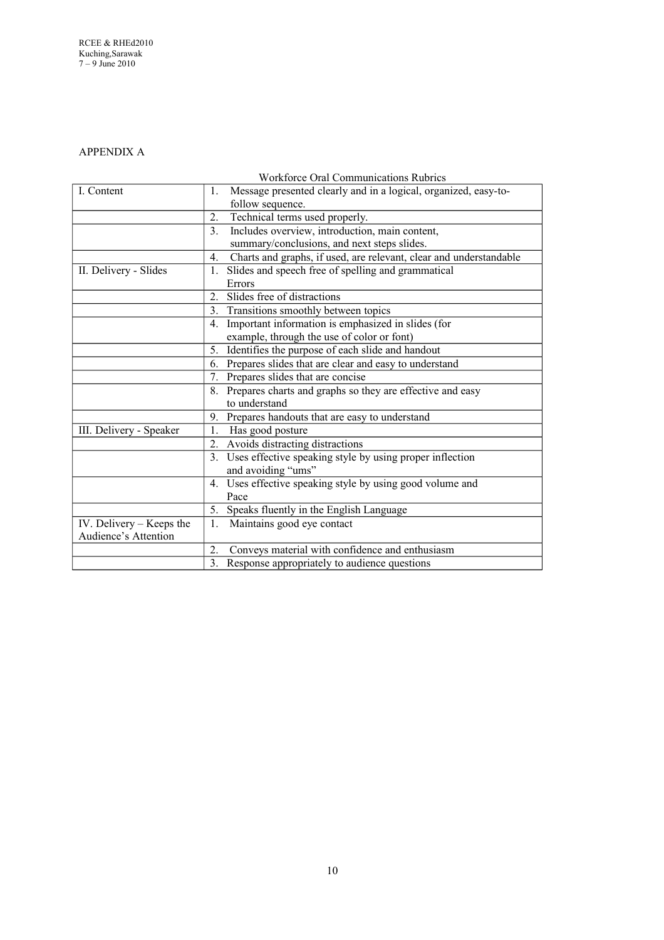# APPENDIX A

# Workforce Oral Communications Rubrics

| I. Content                 | Message presented clearly and in a logical, organized, easy-to-<br>1.    |
|----------------------------|--------------------------------------------------------------------------|
|                            | follow sequence.                                                         |
|                            | Technical terms used properly.<br>2.                                     |
|                            | Includes overview, introduction, main content,<br>3 <sub>1</sub>         |
|                            | summary/conclusions, and next steps slides.                              |
|                            | Charts and graphs, if used, are relevant, clear and understandable<br>4. |
| II. Delivery - Slides      | Slides and speech free of spelling and grammatical<br>1.                 |
|                            | Errors                                                                   |
|                            | Slides free of distractions<br>2.                                        |
|                            | Transitions smoothly between topics<br>3.                                |
|                            | Important information is emphasized in slides (for<br>4.                 |
|                            | example, through the use of color or font)                               |
|                            | 5. Identifies the purpose of each slide and handout                      |
|                            | 6. Prepares slides that are clear and easy to understand                 |
|                            | 7. Prepares slides that are concise                                      |
|                            | 8. Prepares charts and graphs so they are effective and easy             |
|                            | to understand                                                            |
|                            | 9. Prepares handouts that are easy to understand                         |
| III. Delivery - Speaker    | 1.<br>Has good posture                                                   |
|                            | 2. Avoids distracting distractions                                       |
|                            | 3. Uses effective speaking style by using proper inflection              |
|                            | and avoiding "ums"                                                       |
|                            | 4. Uses effective speaking style by using good volume and                |
|                            | Pace                                                                     |
|                            | 5. Speaks fluently in the English Language                               |
| IV. Delivery $-$ Keeps the | Maintains good eye contact<br>1.                                         |
| Audience's Attention       |                                                                          |
|                            | Conveys material with confidence and enthusiasm<br>2.                    |
|                            | Response appropriately to audience questions<br>3 <sub>1</sub>           |